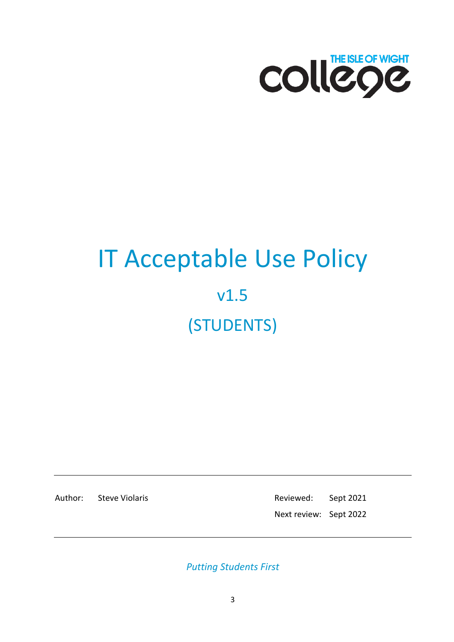

# IT Acceptable Use Policy v1.5 (STUDENTS)

Author: Steve Violaris **Reviewed:** Sept 2021 Next review: Sept 2022

*Putting Students First*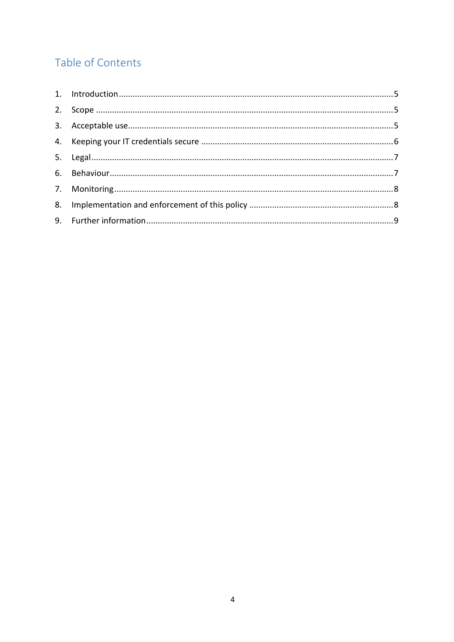# Table of Contents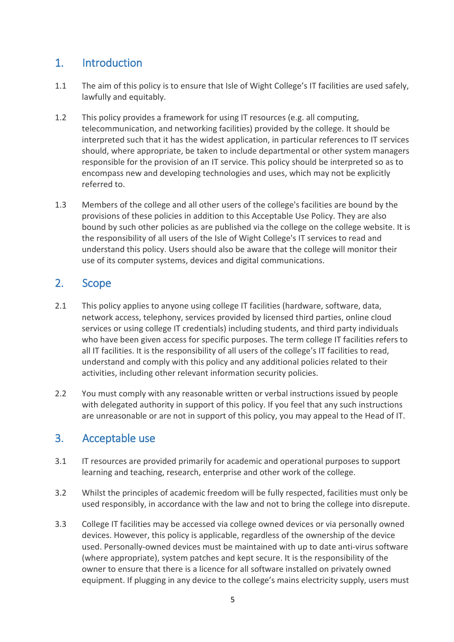### <span id="page-2-0"></span>1. Introduction

- 1.1 The aim of this policy is to ensure that Isle of Wight College's IT facilities are used safely, lawfully and equitably.
- 1.2 This policy provides a framework for using IT resources (e.g. all computing, telecommunication, and networking facilities) provided by the college. It should be interpreted such that it has the widest application, in particular references to IT services should, where appropriate, be taken to include departmental or other system managers responsible for the provision of an IT service. This policy should be interpreted so as to encompass new and developing technologies and uses, which may not be explicitly referred to.
- 1.3 Members of the college and all other users of the college's facilities are bound by the provisions of these policies in addition to this Acceptable Use Policy. They are also bound by such other policies as are published via the college on the college website. It is the responsibility of all users of the Isle of Wight College's IT services to read and understand this policy. Users should also be aware that the college will monitor their use of its computer systems, devices and digital communications.

#### <span id="page-2-1"></span>2. Scope

- 2.1 This policy applies to anyone using college IT facilities (hardware, software, data, network access, telephony, services provided by licensed third parties, online cloud services or using college IT credentials) including students, and third party individuals who have been given access for specific purposes. The term college IT facilities refers to all IT facilities. It is the responsibility of all users of the college's IT facilities to read, understand and comply with this policy and any additional policies related to their activities, including other relevant information [security policies.](http://www.lboro.ac.uk/services/it/student/help/policies/)
- 2.2 You must comply with any reasonable written or verbal instructions issued by people with delegated authority in support of this policy. If you feel that any such instructions are unreasonable or are not in support of this policy, you may appeal to the Head of IT.

#### <span id="page-2-2"></span>3. Acceptable use

- 3.1 IT resources are provided primarily for academic and operational purposes to support learning and teaching, research, enterprise and other work of the college.
- 3.2 Whilst the principles of academic freedom will be fully respected, facilities must only be used responsibly, in accordance with the law and not to bring the college into disrepute.
- 3.3 College IT facilities may be accessed via college owned devices or via personally owned devices. However, this policy is applicable, regardless of the ownership of the device used. Personally-owned devices must be maintained with up to date anti-virus software (where appropriate), system patches and kept secure. It is the responsibility of the owner to ensure that there is a licence for all software installed on privately owned equipment. If plugging in any device to the college's mains electricity supply, users must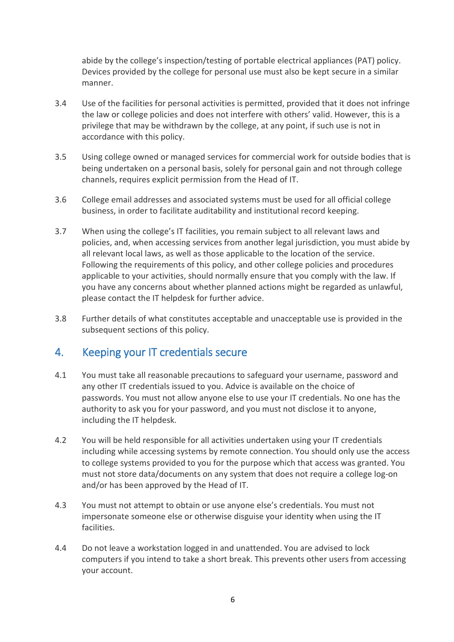abide by the college's inspection/testing of portable electrical appliances (PAT) policy. Devices provided by the college for personal use must also be kept secure in a similar manner.

- 3.4 Use of the facilities for personal activities is permitted, provided that it does not infringe the law or college policies and does not interfere with others' valid. However, this is a privilege that may be withdrawn by the college, at any point, if such use is not in accordance with this policy.
- 3.5 Using college owned or managed services for commercial work for outside bodies that is being undertaken on a personal basis, solely for personal gain and not through college channels, requires explicit permission from the Head of IT.
- 3.6 College email addresses and associated systems must be used for all official college business, in order to facilitate auditability and institutional record keeping.
- 3.7 When using the college's IT facilities, you remain subject to all relevant laws and policies, and, when accessing services from another legal jurisdiction, you must abide by all relevant local laws, as well as those applicable to the location of the service. Following the requirements of this policy, and other college policies and procedures applicable to your activities, should normally ensure that you comply with the law. If you have any concerns about whether planned actions might be regarded as unlawful, please contact the IT helpdesk for further advice.
- 3.8 Further details of what constitutes acceptable and unacceptable use is provided in the subsequent sections of this policy.

#### <span id="page-3-0"></span>4. Keeping your IT credentials secure

- 4.1 You must take all reasonable precautions to safeguard your username, password and any other IT credentials issued to you. Advice is available on the choice of passwords. You must not allow anyone else to use your IT credentials. No one has the authority to ask you for your password, and you must not disclose it to anyone, including the IT helpdesk.
- 4.2 You will be held responsible for all activities undertaken using your IT credentials including while accessing systems by remote connection. You should only use the access to college systems provided to you for the purpose which that access was granted. You must not store data/documents on any system that does not require a college log-on and/or has been approved by the Head of IT.
- 4.3 You must not attempt to obtain or use anyone else's credentials. You must not impersonate someone else or otherwise disguise your identity when using the IT facilities.
- 4.4 Do not leave a workstation logged in and unattended. You are advised to lock computers if you intend to take a short break. This prevents other users from accessing your account.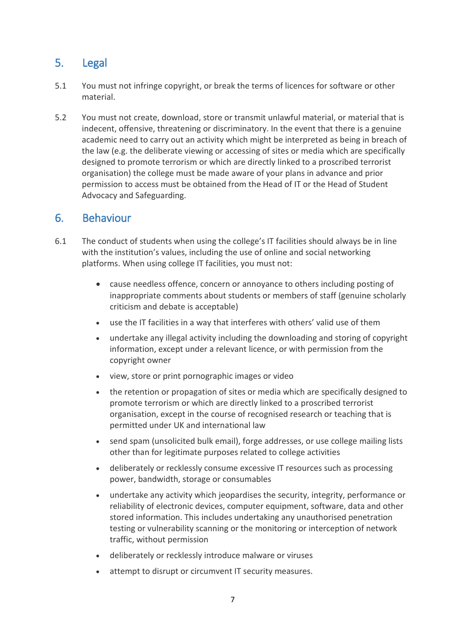## <span id="page-4-0"></span>5. Legal

- 5.1 You must not infringe copyright, or break the terms of licences for software or other material.
- 5.2 You must not create, download, store or transmit unlawful material, or material that is indecent, offensive, threatening or discriminatory. In the event that there is a genuine academic need to carry out an activity which might be interpreted as being in breach of the law (e.g. the deliberate viewing or accessing of sites or media which are specifically designed to promote terrorism or which are directly linked to a proscribed terrorist organisation) the college must be made aware of your plans in advance and prior permission to access must be obtained from the Head of IT or the Head of Student Advocacy and Safeguarding.

#### <span id="page-4-1"></span>6. Behaviour

- 6.1 The conduct of students when using the college's IT facilities should always be in line with the [institution's values,](http://www.lboro.ac.uk/strategy/mission/) including the use of online and social networking platforms. When using college IT facilities, you must not:
	- cause needless offence, concern or annoyance to others including posting of inappropriate comments about students or members of staff (genuine scholarly criticism and debate is acceptable)
	- use the IT facilities in a way that interferes with others' valid use of them
	- undertake any illegal activity including the downloading and storing of copyright information, except under a relevant licence, or with permission from the copyright owner
	- view, store or print pornographic images or video
	- the retention or propagation of sites or media which are specifically designed to promote terrorism or which are directly linked to a proscribed terrorist organisation, except in the course of recognised research or teaching that is permitted under UK and international law
	- send spam (unsolicited bulk email), forge addresses, or use college mailing lists other than for legitimate purposes related to college activities
	- deliberately or recklessly consume excessive IT resources such as processing power, bandwidth, storage or consumables
	- undertake any activity which jeopardises the security, integrity, performance or reliability of electronic devices, computer equipment, software, data and other stored information. This includes undertaking any unauthorised penetration testing or vulnerability scanning or the monitoring or interception of network traffic, without permission
	- deliberately or recklessly introduce malware or viruses
	- attempt to disrupt or circumvent IT security measures.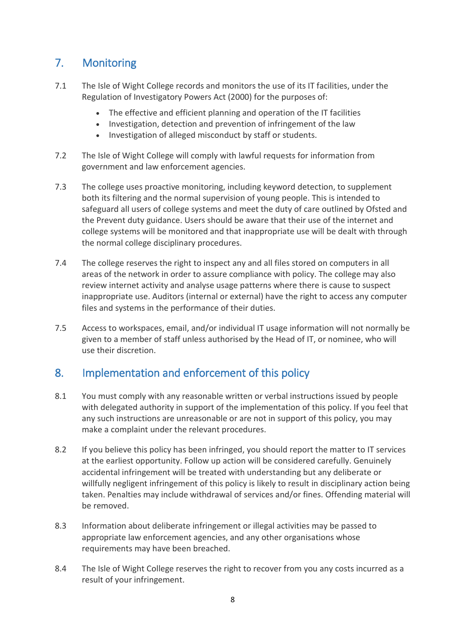## <span id="page-5-0"></span>7. Monitoring

- 7.1 The Isle of Wight College records and monitors the use of its IT facilities, under the Regulation of Investigatory Powers Act (2000) for the purposes of:
	- The effective and efficient planning and operation of the IT facilities
	- Investigation, detection and prevention of infringement of the law
	- Investigation of alleged misconduct by staff or students.
- 7.2 The Isle of Wight College will comply with lawful requests for information from government and law enforcement agencies.
- 7.3 The college uses proactive monitoring, including keyword detection, to supplement both its filtering and the normal supervision of young people. This is intended to safeguard all users of college systems and meet the duty of care outlined by Ofsted and the Prevent duty guidance. Users should be aware that their use of the internet and college systems will be monitored and that inappropriate use will be dealt with through the normal college disciplinary procedures.
- 7.4 The college reserves the right to inspect any and all files stored on computers in all areas of the network in order to assure compliance with policy. The college may also review internet activity and analyse usage patterns where there is cause to suspect inappropriate use. Auditors (internal or external) have the right to access any computer files and systems in the performance of their duties.
- 7.5 Access to workspaces, email, and/or individual IT usage information will not normally be given to a member of staff unless authorised by the Head of IT, or nominee, who will use their discretion.

#### <span id="page-5-1"></span>8. Implementation and enforcement of this policy

- 8.1 You must comply with any reasonable written or verbal instructions issued by people with delegated authority in support of the implementation of this policy. If you feel that any such instructions are unreasonable or are not in support of this policy, you may [make a complaint u](http://www.lboro.ac.uk/governance/ordinances/37/current/)nder the relevant procedures.
- 8.2 If you believe this policy has been infringed, you should report the matter to IT services at the earliest opportunity. Follow up action will be considered carefully. Genuinely accidental infringement will be treated with understanding but any deliberate or willfully negligent infringement of this policy is likely to result in disciplinary action being taken. Penalties may include withdrawal of services and/or fines. Offending material will be removed.
- 8.3 Information about deliberate infringement or illegal activities may be passed to appropriate law enforcement agencies, and any other organisations whose requirements may have been breached.
- 8.4 The Isle of Wight College reserves the right to recover from you any costs incurred as a result of your infringement.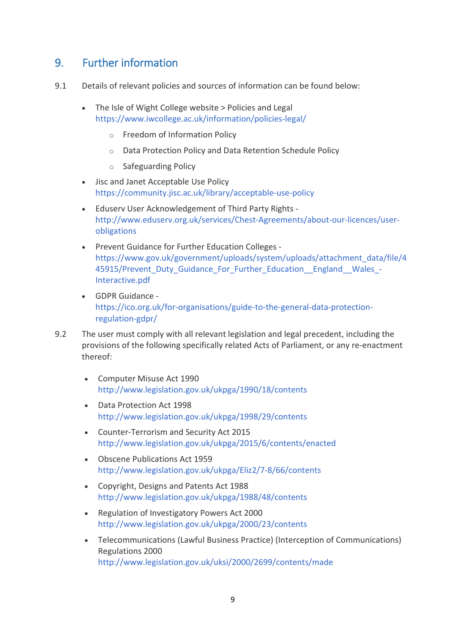#### <span id="page-6-0"></span>9. Further information

- 9.1 Details of relevant policies and sources of information can be found below:
	- The Isle of Wight College website > Policies and Legal <https://www.iwcollege.ac.uk/information/policies-legal/>
		- o Freedom of Information Policy
		- o Data Protection Policy and Data Retention Schedule Policy
		- o Safeguarding Policy
	- Jisc and Janet Acceptable Use Policy <https://community.jisc.ac.uk/library/acceptable-use-policy>
	- Eduserv User Acknowledgement of Third Party Rights [http://www.eduserv.org.uk/services/Chest-Agreements/about-our-licences/user](http://www.eduserv.org.uk/services/Chest-Agreements/about-our-licences/user-obligations)[obligations](http://www.eduserv.org.uk/services/Chest-Agreements/about-our-licences/user-obligations)
	- Prevent Guidance for Further Education Colleges [https://www.gov.uk/government/uploads/system/uploads/attachment\\_data/file/4](https://www.gov.uk/government/uploads/system/uploads/attachment_data/file/445915/Prevent_Duty_Guidance_For_Further_Education__England__Wales_-Interactive.pdf) 45915/Prevent Duty Guidance For Further Education England Wales -[Interactive.pdf](https://www.gov.uk/government/uploads/system/uploads/attachment_data/file/445915/Prevent_Duty_Guidance_For_Further_Education__England__Wales_-Interactive.pdf)
	- GDPR Guidance [https://ico.org.uk/for-organisations/guide-to-the-general-data-protection](https://ico.org.uk/for-organisations/guide-to-the-general-data-protection-regulation-gdpr/)[regulation-gdpr/](https://ico.org.uk/for-organisations/guide-to-the-general-data-protection-regulation-gdpr/)
- 9.2 The user must comply with all relevant legislation and legal precedent, including the provisions of the following specifically related Acts of Parliament, or any re-enactment thereof:
	- Computer Misuse Act 1990 <http://www.legislation.gov.uk/ukpga/1990/18/contents>
	- Data Protection Act 1998 <http://www.legislation.gov.uk/ukpga/1998/29/contents>
	- Counter-Terrorism and Security Act 2015 <http://www.legislation.gov.uk/ukpga/2015/6/contents/enacted>
	- Obscene Publications Act 1959 <http://www.legislation.gov.uk/ukpga/Eliz2/7-8/66/contents>
	- Copyright, Designs and Patents Act 1988 <http://www.legislation.gov.uk/ukpga/1988/48/contents>
	- Regulation of Investigatory Powers Act 2000 <http://www.legislation.gov.uk/ukpga/2000/23/contents>
	- Telecommunications (Lawful Business Practice) (Interception of Communications) Regulations 2000 <http://www.legislation.gov.uk/uksi/2000/2699/contents/made>